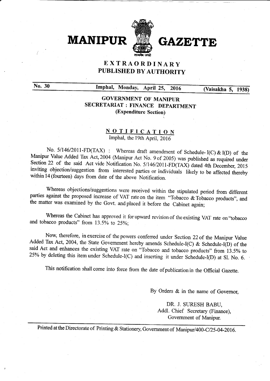

# EXTRAORDINARY PUBLISHED BY AUTHORITY

No. <sup>30</sup> Imphal, Monday, April 25, <sup>2016</sup> (Yaisakha 5, 193S)

### GOVERNMENT OF MANIPUR SECRETARIAT : FINANCE DEPARTMENT (Expenditure Section)

#### NOTIFICATION Imphal, the 19th April, 2016

No. 5/146/2011-FD(TAX): Whereas draft amendment of Schedule-I(C) & I(D) of the Manipur Value Added Tax Act, 2004 (Manipur Act No. 9 of 2005) was published as required under Section 22 of the said Act vide Notification No.

Whereas objections/suggestions were received within the stipulated period from different parties against the proposed increase of VAT rate on the item "Tobacco  $\&$  Tobacco products", and the matter was examined by the Go

Whereas the Cabinet has approved it for upward revision of the existing VAT rate on "tobacco and tobacco products" from  $13.5\%$  to  $25\%$ ;

Now, therefore, in exercise of the powers conferred under Section 22 of the Manipur Value Added Tax Act, 2004, the State Government hereby amends Schedule-I(C) & Schedule-I(D) of the said Act and enhances the existing VAT rate on "Tobacco and tobacco products" from 13.5% to 25% by deleting this item under Schedule-I(C) and inserting it under Schedule-I(D) at Sl. No. 6.

This notification shall come into force from the date of publication in the Official Gazette.

By Orders & in the name of Governor,

DR. J. SURESH BABU, Addl. Chief Secretary (Finance), Government of Manipur.

Printed at the Directorate of Printing & Stationery, Government of Manipur/400-C/25-04-2016.